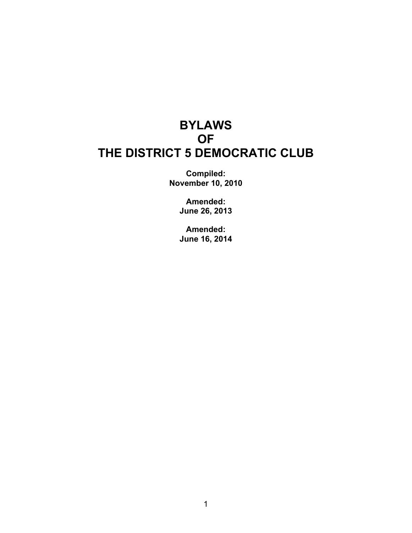# **BYLAWS OF THE DISTRICT 5 DEMOCRATIC CLUB**

**Compiled: November 10, 2010**

> **Amended: June 26, 2013**

> **Amended: June 16, 2014**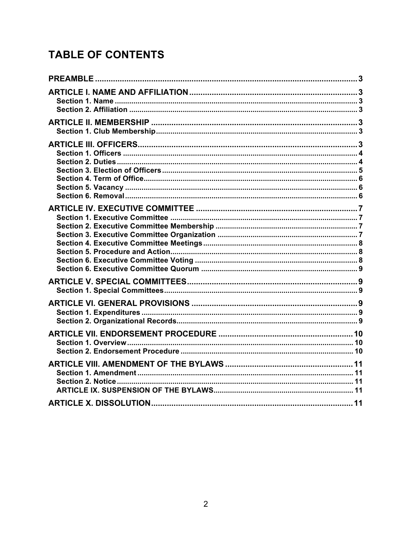# **TABLE OF CONTENTS**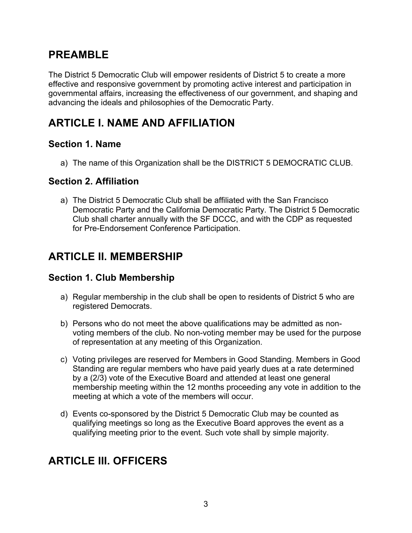# **PREAMBLE**

The District 5 Democratic Club will empower residents of District 5 to create a more effective and responsive government by promoting active interest and participation in governmental affairs, increasing the effectiveness of our government, and shaping and advancing the ideals and philosophies of the Democratic Party.

# **ARTICLE I. NAME AND AFFILIATION**

# **Section 1. Name**

a) The name of this Organization shall be the DISTRICT 5 DEMOCRATIC CLUB.

## **Section 2. Affiliation**

a) The District 5 Democratic Club shall be affiliated with the San Francisco Democratic Party and the California Democratic Party. The District 5 Democratic Club shall charter annually with the SF DCCC, and with the CDP as requested for Pre-Endorsement Conference Participation.

# **ARTICLE II. MEMBERSHIP**

## **Section 1. Club Membership**

- a) Regular membership in the club shall be open to residents of District 5 who are registered Democrats.
- b) Persons who do not meet the above qualifications may be admitted as nonvoting members of the club. No non-voting member may be used for the purpose of representation at any meeting of this Organization.
- c) Voting privileges are reserved for Members in Good Standing. Members in Good Standing are regular members who have paid yearly dues at a rate determined by a (2/3) vote of the Executive Board and attended at least one general membership meeting within the 12 months proceeding any vote in addition to the meeting at which a vote of the members will occur.
- d) Events co-sponsored by the District 5 Democratic Club may be counted as qualifying meetings so long as the Executive Board approves the event as a qualifying meeting prior to the event. Such vote shall by simple majority.

# **ARTICLE III. OFFICERS**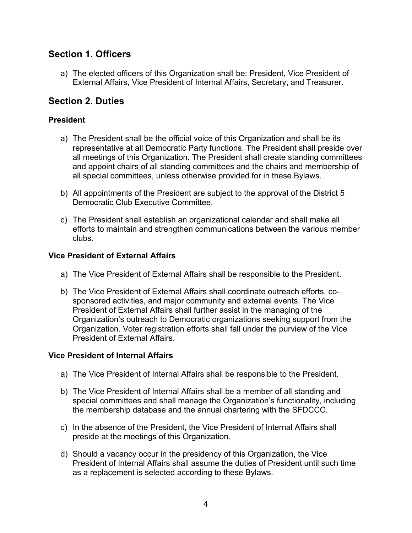## **Section 1. Officers**

a) The elected officers of this Organization shall be: President, Vice President of External Affairs, Vice President of Internal Affairs, Secretary, and Treasurer.

### **Section 2. Duties**

### **President**

- a) The President shall be the official voice of this Organization and shall be its representative at all Democratic Party functions. The President shall preside over all meetings of this Organization. The President shall create standing committees and appoint chairs of all standing committees and the chairs and membership of all special committees, unless otherwise provided for in these Bylaws.
- b) All appointments of the President are subject to the approval of the District 5 Democratic Club Executive Committee.
- c) The President shall establish an organizational calendar and shall make all efforts to maintain and strengthen communications between the various member clubs.

### **Vice President of External Affairs**

- a) The Vice President of External Affairs shall be responsible to the President.
- b) The Vice President of External Affairs shall coordinate outreach efforts, cosponsored activities, and major community and external events. The Vice President of External Affairs shall further assist in the managing of the Organization's outreach to Democratic organizations seeking support from the Organization. Voter registration efforts shall fall under the purview of the Vice President of External Affairs.

### **Vice President of Internal Affairs**

- a) The Vice President of Internal Affairs shall be responsible to the President.
- b) The Vice President of Internal Affairs shall be a member of all standing and special committees and shall manage the Organization's functionality, including the membership database and the annual chartering with the SFDCCC.
- c) In the absence of the President, the Vice President of Internal Affairs shall preside at the meetings of this Organization.
- d) Should a vacancy occur in the presidency of this Organization, the Vice President of Internal Affairs shall assume the duties of President until such time as a replacement is selected according to these Bylaws.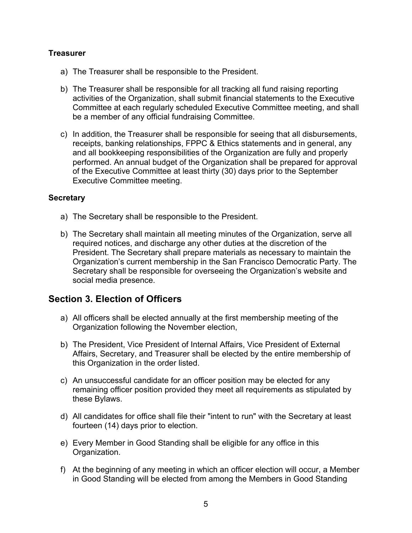### **Treasurer**

- a) The Treasurer shall be responsible to the President.
- b) The Treasurer shall be responsible for all tracking all fund raising reporting activities of the Organization, shall submit financial statements to the Executive Committee at each regularly scheduled Executive Committee meeting, and shall be a member of any official fundraising Committee.
- c) In addition, the Treasurer shall be responsible for seeing that all disbursements, receipts, banking relationships, FPPC & Ethics statements and in general, any and all bookkeeping responsibilities of the Organization are fully and properly performed. An annual budget of the Organization shall be prepared for approval of the Executive Committee at least thirty (30) days prior to the September Executive Committee meeting.

#### **Secretary**

- a) The Secretary shall be responsible to the President.
- b) The Secretary shall maintain all meeting minutes of the Organization, serve all required notices, and discharge any other duties at the discretion of the President. The Secretary shall prepare materials as necessary to maintain the Organization's current membership in the San Francisco Democratic Party. The Secretary shall be responsible for overseeing the Organization's website and social media presence.

### **Section 3. Election of Officers**

- a) All officers shall be elected annually at the first membership meeting of the Organization following the November election,
- b) The President, Vice President of Internal Affairs, Vice President of External Affairs, Secretary, and Treasurer shall be elected by the entire membership of this Organization in the order listed.
- c) An unsuccessful candidate for an officer position may be elected for any remaining officer position provided they meet all requirements as stipulated by these Bylaws.
- d) All candidates for office shall file their "intent to run" with the Secretary at least fourteen (14) days prior to election.
- e) Every Member in Good Standing shall be eligible for any office in this Organization.
- f) At the beginning of any meeting in which an officer election will occur, a Member in Good Standing will be elected from among the Members in Good Standing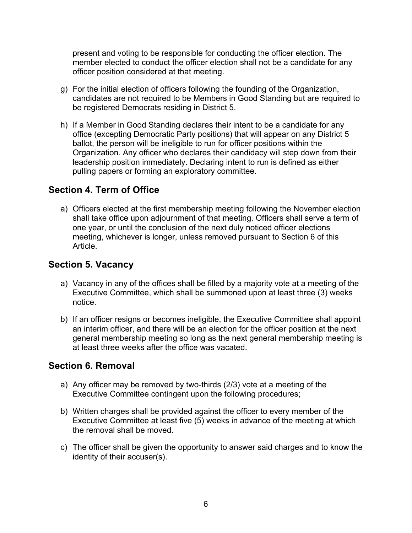present and voting to be responsible for conducting the officer election. The member elected to conduct the officer election shall not be a candidate for any officer position considered at that meeting.

- g) For the initial election of officers following the founding of the Organization, candidates are not required to be Members in Good Standing but are required to be registered Democrats residing in District 5.
- h) If a Member in Good Standing declares their intent to be a candidate for any office (excepting Democratic Party positions) that will appear on any District 5 ballot, the person will be ineligible to run for officer positions within the Organization. Any officer who declares their candidacy will step down from their leadership position immediately. Declaring intent to run is defined as either pulling papers or forming an exploratory committee.

## **Section 4. Term of Office**

a) Officers elected at the first membership meeting following the November election shall take office upon adjournment of that meeting. Officers shall serve a term of one year, or until the conclusion of the next duly noticed officer elections meeting, whichever is longer, unless removed pursuant to Section 6 of this Article.

# **Section 5. Vacancy**

- a) Vacancy in any of the offices shall be filled by a majority vote at a meeting of the Executive Committee, which shall be summoned upon at least three (3) weeks notice.
- b) If an officer resigns or becomes ineligible, the Executive Committee shall appoint an interim officer, and there will be an election for the officer position at the next general membership meeting so long as the next general membership meeting is at least three weeks after the office was vacated.

## **Section 6. Removal**

- a) Any officer may be removed by two-thirds (2/3) vote at a meeting of the Executive Committee contingent upon the following procedures;
- b) Written charges shall be provided against the officer to every member of the Executive Committee at least five (5) weeks in advance of the meeting at which the removal shall be moved.
- c) The officer shall be given the opportunity to answer said charges and to know the identity of their accuser(s).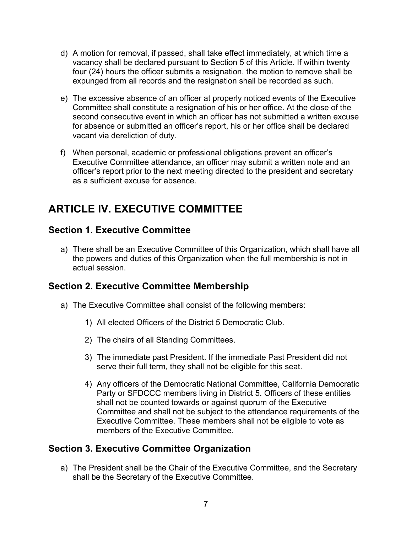- d) A motion for removal, if passed, shall take effect immediately, at which time a vacancy shall be declared pursuant to Section 5 of this Article. If within twenty four (24) hours the officer submits a resignation, the motion to remove shall be expunged from all records and the resignation shall be recorded as such.
- e) The excessive absence of an officer at properly noticed events of the Executive Committee shall constitute a resignation of his or her office. At the close of the second consecutive event in which an officer has not submitted a written excuse for absence or submitted an officer's report, his or her office shall be declared vacant via dereliction of duty.
- f) When personal, academic or professional obligations prevent an officer's Executive Committee attendance, an officer may submit a written note and an officer's report prior to the next meeting directed to the president and secretary as a sufficient excuse for absence.

# **ARTICLE IV. EXECUTIVE COMMITTEE**

# **Section 1. Executive Committee**

a) There shall be an Executive Committee of this Organization, which shall have all the powers and duties of this Organization when the full membership is not in actual session.

# **Section 2. Executive Committee Membership**

- a) The Executive Committee shall consist of the following members:
	- 1) All elected Officers of the District 5 Democratic Club.
	- 2) The chairs of all Standing Committees.
	- 3) The immediate past President. If the immediate Past President did not serve their full term, they shall not be eligible for this seat.
	- 4) Any officers of the Democratic National Committee, California Democratic Party or SFDCCC members living in District 5. Officers of these entities shall not be counted towards or against quorum of the Executive Committee and shall not be subject to the attendance requirements of the Executive Committee. These members shall not be eligible to vote as members of the Executive Committee.

# **Section 3. Executive Committee Organization**

a) The President shall be the Chair of the Executive Committee, and the Secretary shall be the Secretary of the Executive Committee.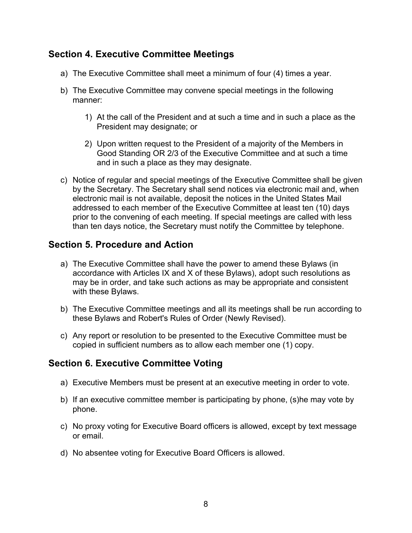## **Section 4. Executive Committee Meetings**

- a) The Executive Committee shall meet a minimum of four (4) times a year.
- b) The Executive Committee may convene special meetings in the following manner:
	- 1) At the call of the President and at such a time and in such a place as the President may designate; or
	- 2) Upon written request to the President of a majority of the Members in Good Standing OR 2/3 of the Executive Committee and at such a time and in such a place as they may designate.
- c) Notice of regular and special meetings of the Executive Committee shall be given by the Secretary. The Secretary shall send notices via electronic mail and, when electronic mail is not available, deposit the notices in the United States Mail addressed to each member of the Executive Committee at least ten (10) days prior to the convening of each meeting. If special meetings are called with less than ten days notice, the Secretary must notify the Committee by telephone.

### **Section 5. Procedure and Action**

- a) The Executive Committee shall have the power to amend these Bylaws (in accordance with Articles IX and X of these Bylaws), adopt such resolutions as may be in order, and take such actions as may be appropriate and consistent with these Bylaws.
- b) The Executive Committee meetings and all its meetings shall be run according to these Bylaws and Robert's Rules of Order (Newly Revised).
- c) Any report or resolution to be presented to the Executive Committee must be copied in sufficient numbers as to allow each member one (1) copy.

## **Section 6. Executive Committee Voting**

- a) Executive Members must be present at an executive meeting in order to vote.
- b) If an executive committee member is participating by phone, (s)he may vote by phone.
- c) No proxy voting for Executive Board officers is allowed, except by text message or email.
- d) No absentee voting for Executive Board Officers is allowed.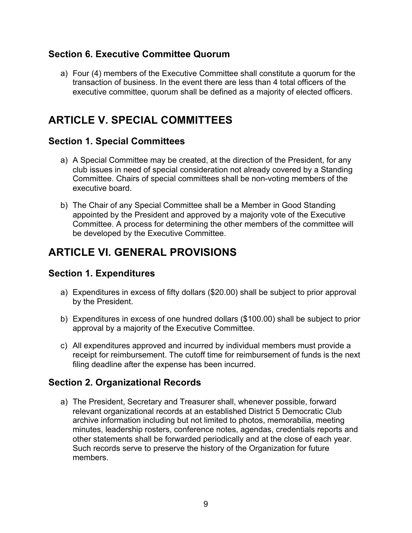## **Section 6. Executive Committee Quorum**

a) Four (4) members of the Executive Committee shall constitute a quorum for the transaction of business. In the event there are less than 4 total officers of the executive committee, quorum shall be defined as a majority of elected officers.

# **ARTICLE V. SPECIAL COMMITTEES**

### **Section 1. Special Committees**

- a) A Special Committee may be created, at the direction of the President, for any club issues in need of special consideration not already covered by a Standing Committee. Chairs of special committees shall be non-voting members of the executive board.
- b) The Chair of any Special Committee shall be a Member in Good Standing appointed by the President and approved by a majority vote of the Executive Committee. A process for determining the other members of the committee will be developed by the Executive Committee.

# **ARTICLE VI. GENERAL PROVISIONS**

### **Section 1. Expenditures**

- a) Expenditures in excess of fifty dollars (\$20.00) shall be subject to prior approval by the President.
- b) Expenditures in excess of one hundred dollars (\$100.00) shall be subject to prior approval by a majority of the Executive Committee.
- c) All expenditures approved and incurred by individual members must provide a receipt for reimbursement. The cutoff time for reimbursement of funds is the next filing deadline after the expense has been incurred.

## **Section 2. Organizational Records**

a) The President, Secretary and Treasurer shall, whenever possible, forward relevant organizational records at an established District 5 Democratic Club archive information including but not limited to photos, memorabilia, meeting minutes, leadership rosters, conference notes, agendas, credentials reports and other statements shall be forwarded periodically and at the close of each year. Such records serve to preserve the history of the Organization for future members.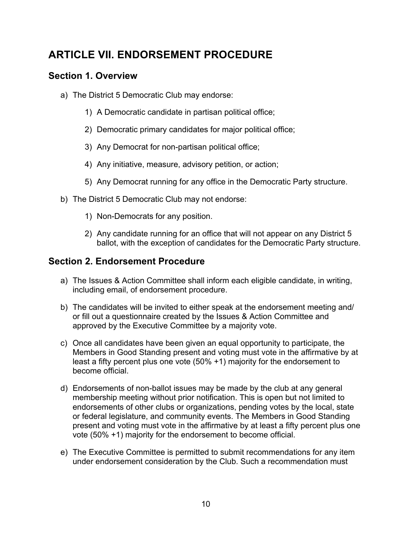# **ARTICLE VII. ENDORSEMENT PROCEDURE**

# **Section 1. Overview**

- a) The District 5 Democratic Club may endorse:
	- 1) A Democratic candidate in partisan political office;
	- 2) Democratic primary candidates for major political office;
	- 3) Any Democrat for non-partisan political office;
	- 4) Any initiative, measure, advisory petition, or action;
	- 5) Any Democrat running for any office in the Democratic Party structure.
- b) The District 5 Democratic Club may not endorse:
	- 1) Non-Democrats for any position.
	- 2) Any candidate running for an office that will not appear on any District 5 ballot, with the exception of candidates for the Democratic Party structure.

## **Section 2. Endorsement Procedure**

- a) The Issues & Action Committee shall inform each eligible candidate, in writing, including email, of endorsement procedure.
- b) The candidates will be invited to either speak at the endorsement meeting and/ or fill out a questionnaire created by the Issues & Action Committee and approved by the Executive Committee by a majority vote.
- c) Once all candidates have been given an equal opportunity to participate, the Members in Good Standing present and voting must vote in the affirmative by at least a fifty percent plus one vote (50% +1) majority for the endorsement to become official.
- d) Endorsements of non-ballot issues may be made by the club at any general membership meeting without prior notification. This is open but not limited to endorsements of other clubs or organizations, pending votes by the local, state or federal legislature, and community events. The Members in Good Standing present and voting must vote in the affirmative by at least a fifty percent plus one vote (50% +1) majority for the endorsement to become official.
- e) The Executive Committee is permitted to submit recommendations for any item under endorsement consideration by the Club. Such a recommendation must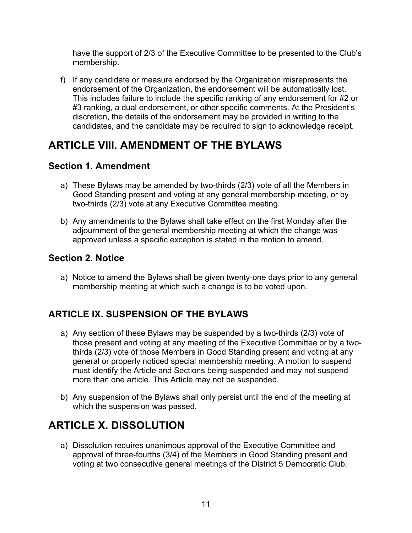have the support of 2/3 of the Executive Committee to be presented to the Club's membership.

f) If any candidate or measure endorsed by the Organization misrepresents the endorsement of the Organization, the endorsement will be automatically lost. This includes failure to include the specific ranking of any endorsement for #2 or #3 ranking, a dual endorsement, or other specific comments. At the President's discretion, the details of the endorsement may be provided in writing to the candidates, and the candidate may be required to sign to acknowledge receipt.

# **ARTICLE VIII. AMENDMENT OF THE BYLAWS**

# **Section 1. Amendment**

- a) These Bylaws may be amended by two-thirds (2/3) vote of all the Members in Good Standing present and voting at any general membership meeting, or by two-thirds (2/3) vote at any Executive Committee meeting.
- b) Any amendments to the Bylaws shall take effect on the first Monday after the adjournment of the general membership meeting at which the change was approved unless a specific exception is stated in the motion to amend.

# **Section 2. Notice**

a) Notice to amend the Bylaws shall be given twenty-one days prior to any general membership meeting at which such a change is to be voted upon.

# **ARTICLE IX. SUSPENSION OF THE BYLAWS**

- a) Any section of these Bylaws may be suspended by a two-thirds (2/3) vote of those present and voting at any meeting of the Executive Committee or by a twothirds (2/3) vote of those Members in Good Standing present and voting at any general or properly noticed special membership meeting. A motion to suspend must identify the Article and Sections being suspended and may not suspend more than one article. This Article may not be suspended.
- b) Any suspension of the Bylaws shall only persist until the end of the meeting at which the suspension was passed.

# **ARTICLE X. DISSOLUTION**

a) Dissolution requires unanimous approval of the Executive Committee and approval of three-fourths (3/4) of the Members in Good Standing present and voting at two consecutive general meetings of the District 5 Democratic Club.